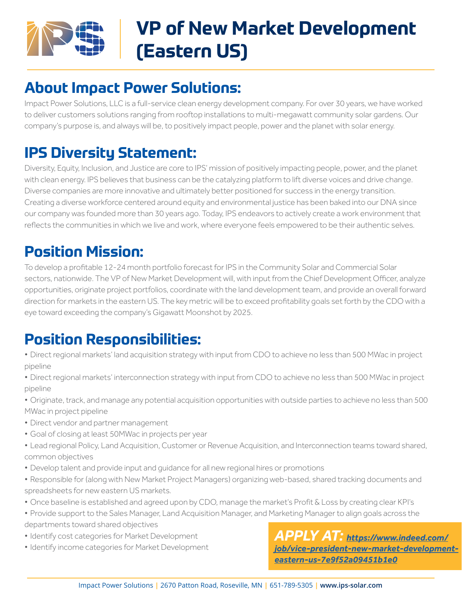

# **VP of New Market Development (Eastern US)**

#### **About Impact Power Solutions:**

Impact Power Solutions, LLC is a full-service clean energy development company. For over 30 years, we have worked to deliver customers solutions ranging from rooftop installations to multi-megawatt community solar gardens. Our company's purpose is, and always will be, to positively impact people, power and the planet with solar energy.

#### **IPS Diversity Statement:**

Diversity, Equity, Inclusion, and Justice are core to IPS' mission of positively impacting people, power, and the planet with clean energy. IPS believes that business can be the catalyzing platform to lift diverse voices and drive change. Diverse companies are more innovative and ultimately better positioned for success in the energy transition. Creating a diverse workforce centered around equity and environmental justice has been baked into our DNA since our company was founded more than 30 years ago. Today, IPS endeavors to actively create a work environment that reflects the communities in which we live and work, where everyone feels empowered to be their authentic selves.

#### **Position Mission:**

To develop a profitable 12-24 month portfolio forecast for IPS in the Community Solar and Commercial Solar sectors, nationwide. The VP of New Market Development will, with input from the Chief Development Officer, analyze opportunities, originate project portfolios, coordinate with the land development team, and provide an overall forward direction for markets in the eastern US. The key metric will be to exceed profitability goals set forth by the CDO with a eye toward exceeding the company's Gigawatt Moonshot by 2025.

### **Position Responsibilities:**

- *•* Direct regional markets' land acquisition strategy with input from CDO to achieve no less than 500 MWac in project pipeline
- *•* Direct regional markets' interconnection strategy with input from CDO to achieve no less than 500 MWac in project pipeline
- Originate, track, and manage any potential acquisition opportunities with outside parties to achieve no less than 500 MWac in project pipeline
- Direct vendor and partner management
- *•* Goal of closing at least 50MWac in projects per year
- *•* Lead regional Policy, Land Acquisition, Customer or Revenue Acquisition, and Interconnection teams toward shared, common objectives
- Develop talent and provide input and quidance for all new regional hires or promotions
- *•* Responsible for (along with New Market Project Managers) organizing web-based, shared tracking documents and spreadsheets for new eastern US markets.
- *•* Once baseline is established and agreed upon by CDO, manage the market's Profit & Loss by creating clear KPI's
- *•* Provide support to the Sales Manager, Land Acquisition Manager, and Marketing Manager to align goals across the
- departments toward shared objectives
- *•* Identify cost categories for Market Development
- *•* Identify income categories for Market Development

*APPLY AT: [https://www.indeed.com/](https://www.indeed.com/job/vice-president-new-market-development-eastern-us-7e9f52a09451b1e0) [job/vice-president-new-market-development](https://www.indeed.com/job/vice-president-new-market-development-eastern-us-7e9f52a09451b1e0)[eastern-us-7e9f52a09451b1e0](https://www.indeed.com/job/vice-president-new-market-development-eastern-us-7e9f52a09451b1e0)*